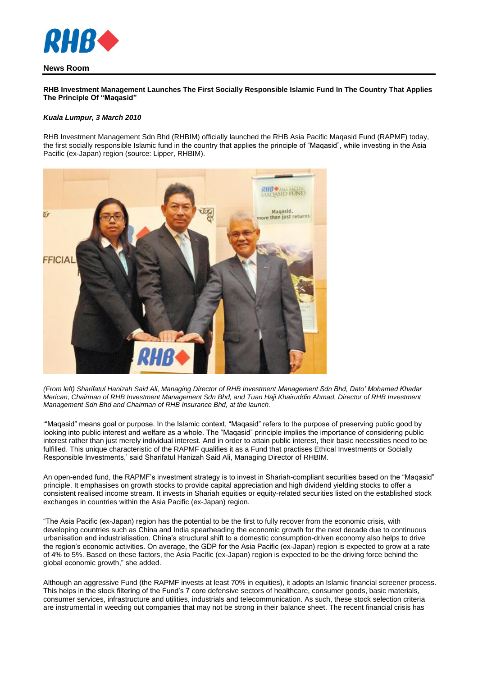

## **News Room**

**RHB Investment Management Launches The First Socially Responsible Islamic Fund In The Country That Applies The Principle Of "Maqasid"**

## *Kuala Lumpur, 3 March 2010*

RHB Investment Management Sdn Bhd (RHBIM) officially launched the RHB Asia Pacific Maqasid Fund (RAPMF) today, the first socially responsible Islamic fund in the country that applies the principle of "Maqasid", while investing in the Asia Pacific (ex-Japan) region (source: Lipper, RHBIM).



*(From left) Sharifatul Hanizah Said Ali, Managing Director of RHB Investment Management Sdn Bhd, Dato' Mohamed Khadar Merican, Chairman of RHB Investment Management Sdn Bhd, and Tuan Haji Khairuddin Ahmad, Director of RHB Investment Management Sdn Bhd and Chairman of RHB Insurance Bhd, at the launch.*

'"Maqasid" means goal or purpose. In the Islamic context, "Maqasid" refers to the purpose of preserving public good by looking into public interest and welfare as a whole. The "Maqasid" principle implies the importance of considering public interest rather than just merely individual interest. And in order to attain public interest, their basic necessities need to be fulfilled. This unique characteristic of the RAPMF qualifies it as a Fund that practises Ethical Investments or Socially Responsible Investments,' said Sharifatul Hanizah Said Ali, Managing Director of RHBIM.

An open-ended fund, the RAPMF's investment strategy is to invest in Shariah-compliant securities based on the "Maqasid" principle. It emphasises on growth stocks to provide capital appreciation and high dividend yielding stocks to offer a consistent realised income stream. It invests in Shariah equities or equity-related securities listed on the established stock exchanges in countries within the Asia Pacific (ex-Japan) region.

"The Asia Pacific (ex-Japan) region has the potential to be the first to fully recover from the economic crisis, with developing countries such as China and India spearheading the economic growth for the next decade due to continuous urbanisation and industrialisation. China's structural shift to a domestic consumption-driven economy also helps to drive the region's economic activities. On average, the GDP for the Asia Pacific (ex-Japan) region is expected to grow at a rate of 4% to 5%. Based on these factors, the Asia Pacific (ex-Japan) region is expected to be the driving force behind the global economic growth," she added.

Although an aggressive Fund (the RAPMF invests at least 70% in equities), it adopts an Islamic financial screener process. This helps in the stock filtering of the Fund's 7 core defensive sectors of healthcare, consumer goods, basic materials, consumer services, infrastructure and utilities, industrials and telecommunication. As such, these stock selection criteria are instrumental in weeding out companies that may not be strong in their balance sheet. The recent financial crisis has